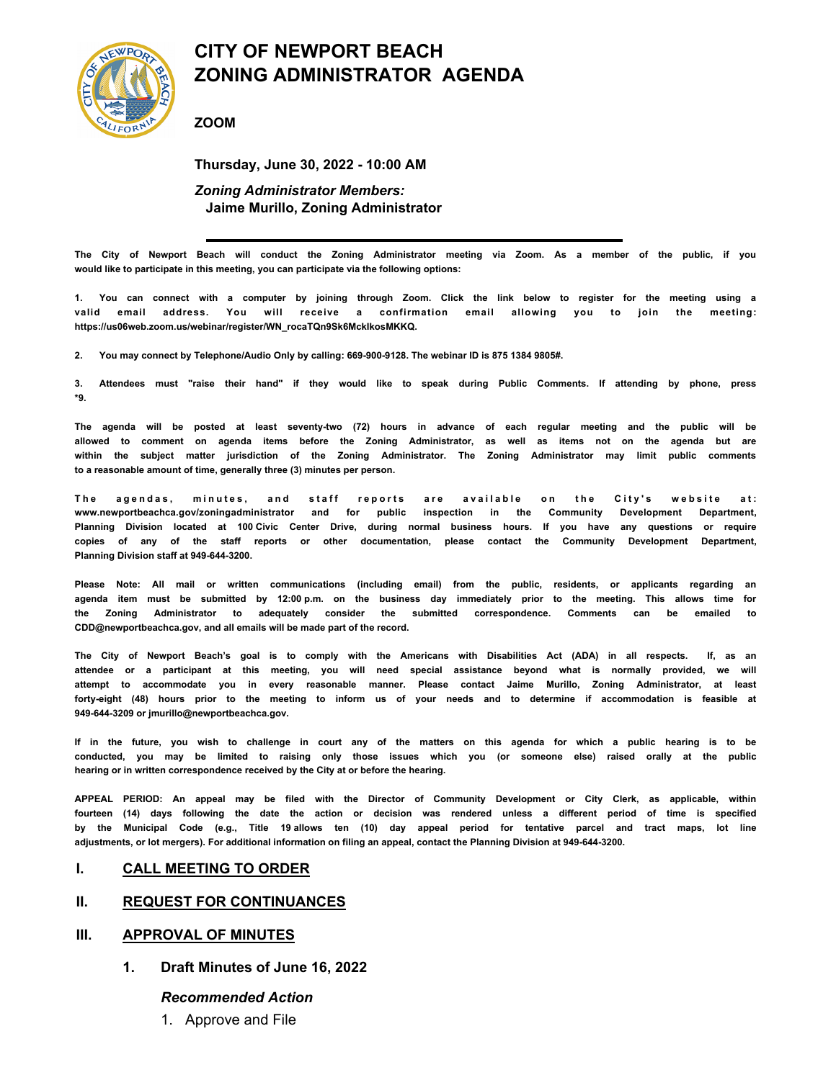

# **CITY OF NEWPORT BEACH ZONING ADMINISTRATOR AGENDA**

**ZOOM**

**Thursday, June 30, 2022 - 10:00 AM** *Zoning Administrator Members:*  **Jaime Murillo, Zoning Administrator**

**The City of Newport Beach will conduct the Zoning Administrator meeting via Zoom. As a member of the public, if you would like to participate in this meeting, you can participate via the following options:**

**1. You can connect with a computer by joining through Zoom. Click the link below to register for the meeting using a valid email address. You will receive a confirmation email allowing you to join the meeting: https://us06web.zoom.us/webinar/register/WN\_rocaTQn9Sk6MckIkosMKKQ.**

**2. You may connect by Telephone/Audio Only by calling: 669-900-9128. The webinar ID is 875 1384 9805#.**

**3. Attendees must "raise their hand" if they would like to speak during Public Comments. If attending by phone, press \*9.**

**The agenda will be posted at least seventy-two (72) hours in advance of each regular meeting and the public will be allowed to comment on agenda items before the Zoning Administrator, as well as items not on the agenda but are within the subject matter jurisdiction of the Zoning Administrator. The Zoning Administrator may limit public comments to a reasonable amount of time, generally three (3) minutes per person.**

The agendas, minutes, and staff reports are available on the City's website at: **www.newportbeachca.gov/zoningadministrator and for public inspection in the Community Development Department, Planning Division located at 100 Civic Center Drive, during normal business hours. If you have any questions or require copies of any of the staff reports or other documentation, please contact the Community Development Department, Planning Division staff at 949-644-3200.**

**Please Note: All mail or written communications (including email) from the public, residents, or applicants regarding an agenda item must be submitted by 12:00 p.m. on the business day immediately prior to the meeting. This allows time for the Zoning Administrator to adequately consider the submitted correspondence. Comments can be emailed to CDD@newportbeachca.gov, and all emails will be made part of the record.**

**The City of Newport Beach's goal is to comply with the Americans with Disabilities Act (ADA) in all respects. If, as an attendee or a participant at this meeting, you will need special assistance beyond what is normally provided, we will attempt to accommodate you in every reasonable manner. Please contact Jaime Murillo, Zoning Administrator, at least forty-eight (48) hours prior to the meeting to inform us of your needs and to determine if accommodation is feasible at 949-644-3209 or jmurillo@newportbeachca.gov.**

**If in the future, you wish to challenge in court any of the matters on this agenda for which a public hearing is to be conducted, you may be limited to raising only those issues which you (or someone else) raised orally at the public hearing or in written correspondence received by the City at or before the hearing.**

**APPEAL PERIOD: An appeal may be filed with the Director of Community Development or City Clerk, as applicable, within fourteen (14) days following the date the action or decision was rendered unless a different period of time is specified by the Municipal Code (e.g., Title 19 allows ten (10) day appeal period for tentative parcel and tract maps, lot line adjustments, or lot mergers). For additional information on filing an appeal, contact the Planning Division at 949-644-3200.**

#### **I. CALL MEETING TO ORDER**

#### **II. REQUEST FOR CONTINUANCES**

#### **III. APPROVAL OF MINUTES**

**1. Draft Minutes of June 16, 2022**

#### *Recommended Action*

1. Approve and File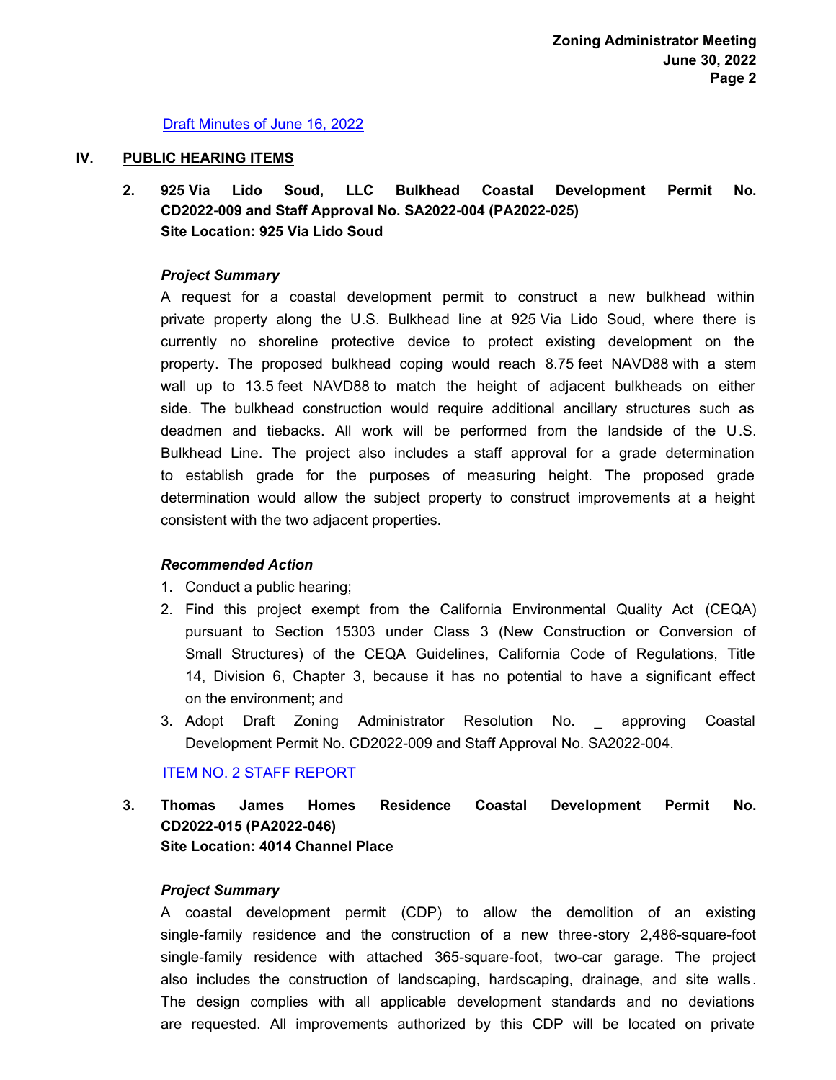## [Draft Minutes of June 16, 2022](http://newportbeach.legistar.com/gateway.aspx?M=F&ID=e7635743-33c5-4835-93bf-33615933c118.pdf)

#### **IV. PUBLIC HEARING ITEMS**

**925 Via Lido Soud, LLC Bulkhead Coastal Development Permit No. CD2022-009 and Staff Approval No. SA2022-004 (PA2022-025) Site Location: 925 Via Lido Soud 2.**

# *Project Summary*

A request for a coastal development permit to construct a new bulkhead within private property along the U.S. Bulkhead line at 925 Via Lido Soud, where there is currently no shoreline protective device to protect existing development on the property. The proposed bulkhead coping would reach 8.75 feet NAVD88 with a stem wall up to 13.5 feet NAVD88 to match the height of adjacent bulkheads on either side. The bulkhead construction would require additional ancillary structures such as deadmen and tiebacks. All work will be performed from the landside of the U.S. Bulkhead Line. The project also includes a staff approval for a grade determination to establish grade for the purposes of measuring height. The proposed grade determination would allow the subject property to construct improvements at a height consistent with the two adjacent properties.

## *Recommended Action*

- 1. Conduct a public hearing;
- 2. Find this project exempt from the California Environmental Quality Act (CEQA) pursuant to Section 15303 under Class 3 (New Construction or Conversion of Small Structures) of the CEQA Guidelines, California Code of Regulations, Title 14, Division 6, Chapter 3, because it has no potential to have a significant effect on the environment; and
- 3. Adopt Draft Zoning Administrator Resolution No. \_ approving Coastal Development Permit No. CD2022-009 and Staff Approval No. SA2022-004.

[ITEM NO. 2 STAFF REPORT](http://newportbeach.legistar.com/gateway.aspx?M=F&ID=8bcde5a7-0ee6-4bf4-9a6b-241f8abe5930.pdf)

**Thomas James Homes Residence Coastal Development Permit No. CD2022-015 (PA2022-046) Site Location: 4014 Channel Place 3.**

## *Project Summary*

A coastal development permit (CDP) to allow the demolition of an existing single-family residence and the construction of a new three-story 2,486-square-foot single-family residence with attached 365-square-foot, two-car garage. The project also includes the construction of landscaping, hardscaping, drainage, and site walls . The design complies with all applicable development standards and no deviations are requested. All improvements authorized by this CDP will be located on private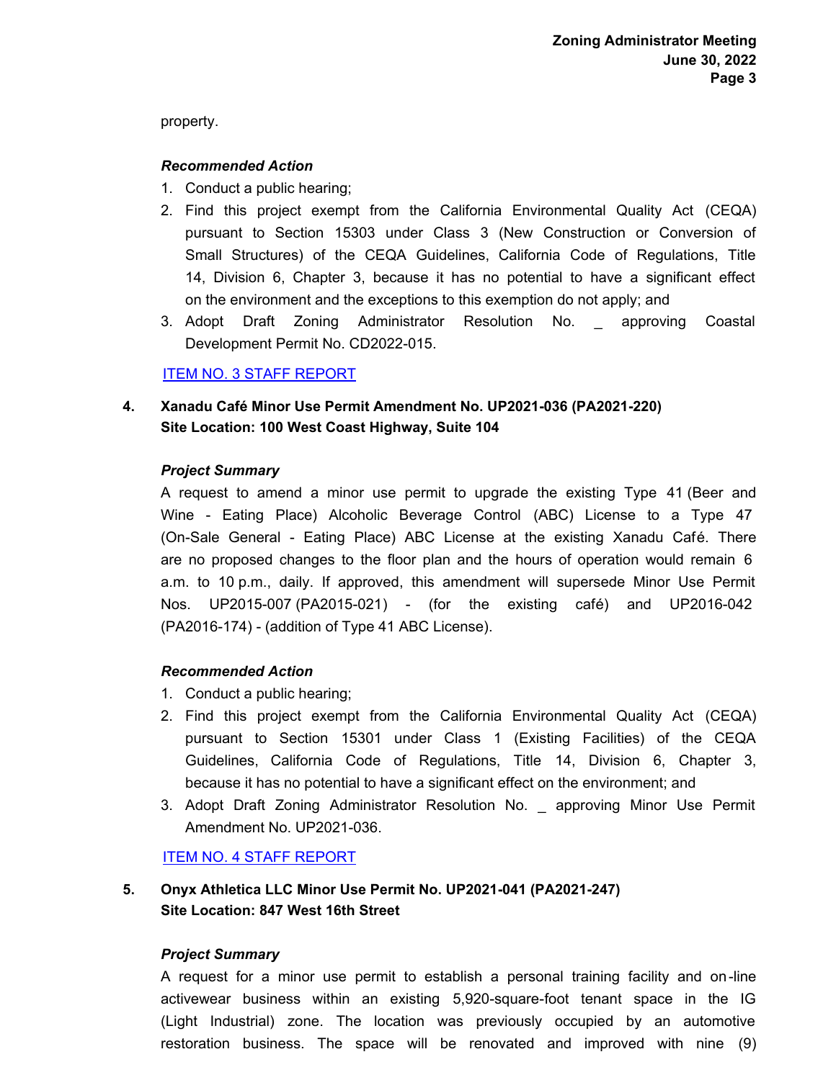property.

# *Recommended Action*

- 1. Conduct a public hearing;
- 2. Find this project exempt from the California Environmental Quality Act (CEQA) pursuant to Section 15303 under Class 3 (New Construction or Conversion of Small Structures) of the CEQA Guidelines, California Code of Regulations, Title 14, Division 6, Chapter 3, because it has no potential to have a significant effect on the environment and the exceptions to this exemption do not apply; and
- 3. Adopt Draft Zoning Administrator Resolution No. \_ approving Coastal Development Permit No. CD2022-015.

# [ITEM NO. 3 STAFF REPORT](http://newportbeach.legistar.com/gateway.aspx?M=F&ID=f8a1255f-db61-40fd-8fd7-c024089ee0ca.pdf)

**Xanadu Café Minor Use Permit Amendment No. UP2021-036 (PA2021-220) Site Location: 100 West Coast Highway, Suite 104 4.**

# *Project Summary*

A request to amend a minor use permit to upgrade the existing Type 41 (Beer and Wine - Eating Place) Alcoholic Beverage Control (ABC) License to a Type 47 (On-Sale General - Eating Place) ABC License at the existing Xanadu Café. There are no proposed changes to the floor plan and the hours of operation would remain 6 a.m. to 10 p.m., daily. If approved, this amendment will supersede Minor Use Permit Nos. UP2015-007 (PA2015-021) - (for the existing café) and UP2016-042 (PA2016-174) - (addition of Type 41 ABC License).

# *Recommended Action*

- 1. Conduct a public hearing;
- 2. Find this project exempt from the California Environmental Quality Act (CEQA) pursuant to Section 15301 under Class 1 (Existing Facilities) of the CEQA Guidelines, California Code of Regulations, Title 14, Division 6, Chapter 3, because it has no potential to have a significant effect on the environment; and
- 3. Adopt Draft Zoning Administrator Resolution No. \_ approving Minor Use Permit Amendment No. UP2021-036.

# [ITEM NO. 4 STAFF REPORT](http://newportbeach.legistar.com/gateway.aspx?M=F&ID=c34d3073-5873-449a-abc0-db687b437b91.pdf)

#### **Onyx Athletica LLC Minor Use Permit No. UP2021-041 (PA2021-247) Site Location: 847 West 16th Street 5.**

## *Project Summary*

A request for a minor use permit to establish a personal training facility and on-line activewear business within an existing 5,920-square-foot tenant space in the IG (Light Industrial) zone. The location was previously occupied by an automotive restoration business. The space will be renovated and improved with nine (9)